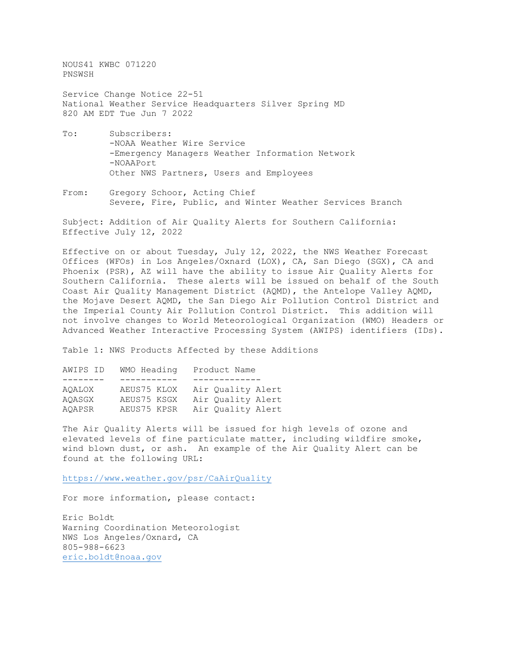NOUS41 KWBC 071220 PNSWSH

Service Change Notice 22-51 National Weather Service Headquarters Silver Spring MD 820 AM EDT Tue Jun 7 2022

- To: Subscribers: -NOAA Weather Wire Service -Emergency Managers Weather Information Network -NOAAPort Other NWS Partners, Users and Employees
- From: Gregory Schoor, Acting Chief Severe, Fire, Public, and Winter Weather Services Branch

Subject: Addition of Air Quality Alerts for Southern California: Effective July 12, 2022

Effective on or about Tuesday, July 12, 2022, the NWS Weather Forecast Offices (WFOs) in Los Angeles/Oxnard (LOX), CA, San Diego (SGX), CA and Phoenix (PSR), AZ will have the ability to issue Air Quality Alerts for Southern California. These alerts will be issued on behalf of the South Coast Air Quality Management District (AQMD), the Antelope Valley AQMD, the Mojave Desert AQMD, the San Diego Air Pollution Control District and the Imperial County Air Pollution Control District. This addition will not involve changes to World Meteorological Organization (WMO) Headers or Advanced Weather Interactive Processing System (AWIPS) identifiers (IDs).

Table 1: NWS Products Affected by these Additions

| AWIPS ID | WMO Heading | Product Name      |
|----------|-------------|-------------------|
|          |             |                   |
| AOALOX   | AEUS75 KLOX | Air Quality Alert |
| AOASGX   | AEUS75 KSGX | Air Quality Alert |
| AOAPSR   | AEUS75 KPSR | Air Quality Alert |
|          |             |                   |

The Air Quality Alerts will be issued for high levels of ozone and elevated levels of fine particulate matter, including wildfire smoke, wind blown dust, or ash. An example of the Air Quality Alert can be found at the following URL:

<https://www.weather.gov/psr/CaAirQuality>

For more information, please contact:

Eric Boldt Warning Coordination Meteorologist NWS Los Angeles/Oxnard, CA 805-988-6623 [eric.boldt@noaa.gov](mailto:eric.boldt@noaa.gov)